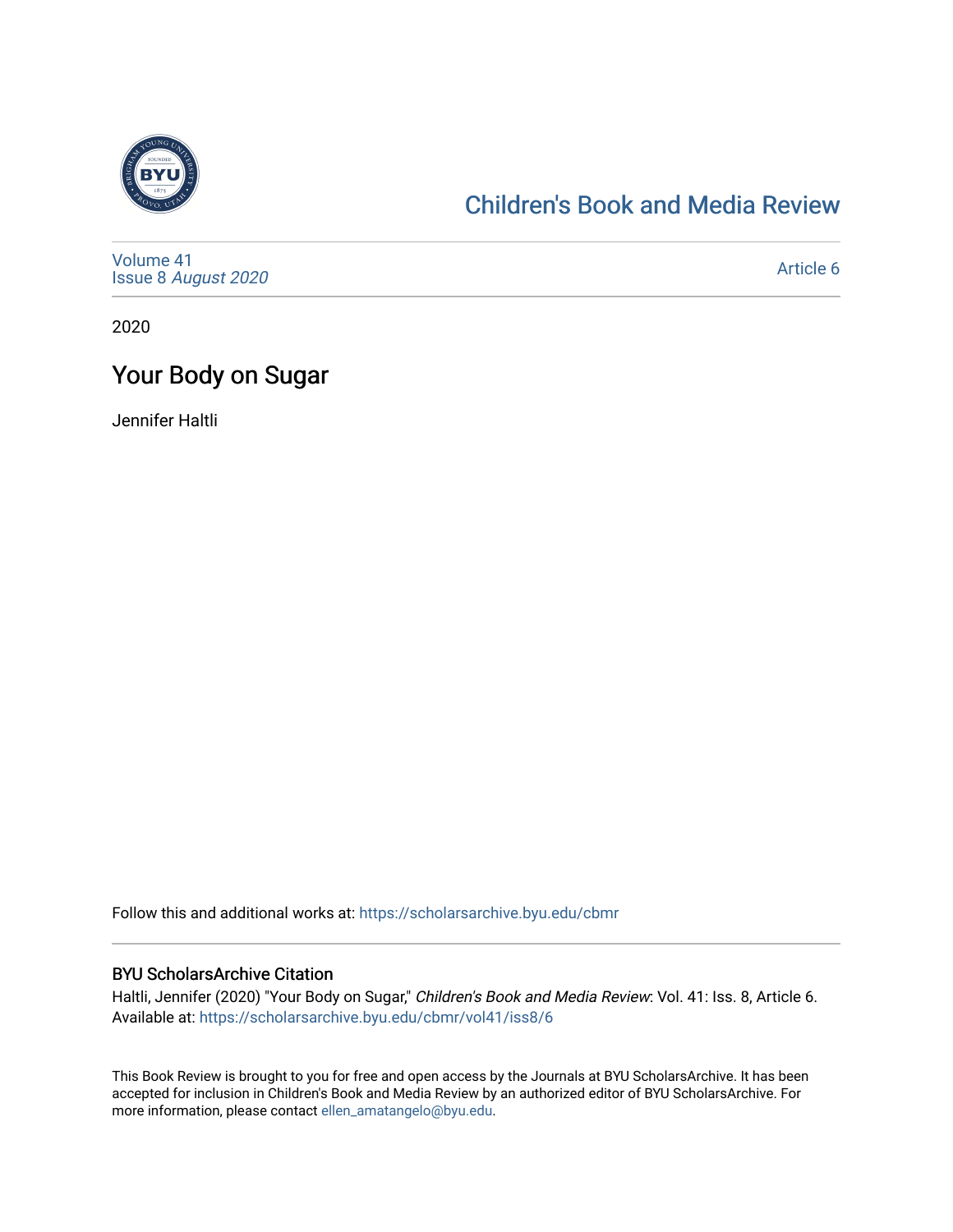

# [Children's Book and Media Review](https://scholarsarchive.byu.edu/cbmr)

[Volume 41](https://scholarsarchive.byu.edu/cbmr/vol41) Issue 8 [August 2020](https://scholarsarchive.byu.edu/cbmr/vol41/iss8) 

[Article 6](https://scholarsarchive.byu.edu/cbmr/vol41/iss8/6) 

2020

# Your Body on Sugar

Jennifer Haltli

Follow this and additional works at: [https://scholarsarchive.byu.edu/cbmr](https://scholarsarchive.byu.edu/cbmr?utm_source=scholarsarchive.byu.edu%2Fcbmr%2Fvol41%2Fiss8%2F6&utm_medium=PDF&utm_campaign=PDFCoverPages) 

#### BYU ScholarsArchive Citation

Haltli, Jennifer (2020) "Your Body on Sugar," Children's Book and Media Review: Vol. 41: Iss. 8, Article 6. Available at: [https://scholarsarchive.byu.edu/cbmr/vol41/iss8/6](https://scholarsarchive.byu.edu/cbmr/vol41/iss8/6?utm_source=scholarsarchive.byu.edu%2Fcbmr%2Fvol41%2Fiss8%2F6&utm_medium=PDF&utm_campaign=PDFCoverPages) 

This Book Review is brought to you for free and open access by the Journals at BYU ScholarsArchive. It has been accepted for inclusion in Children's Book and Media Review by an authorized editor of BYU ScholarsArchive. For more information, please contact [ellen\\_amatangelo@byu.edu.](mailto:ellen_amatangelo@byu.edu)